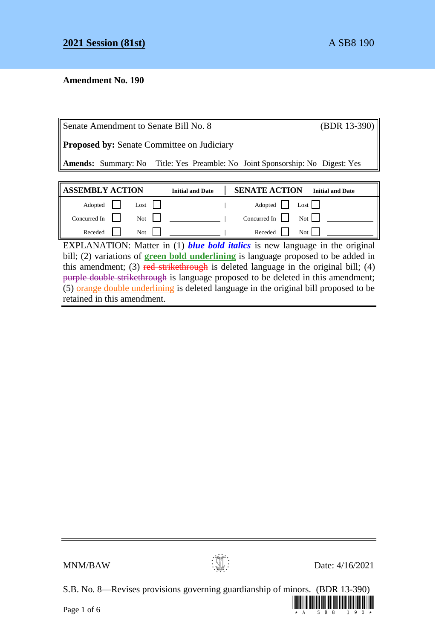## **Amendment No. 190**

| Senate Amendment to Senate Bill No. 8                                                |                         |                      | (BDR 13-390)            |  |
|--------------------------------------------------------------------------------------|-------------------------|----------------------|-------------------------|--|
| <b>Proposed by:</b> Senate Committee on Judiciary                                    |                         |                      |                         |  |
| <b>Amends:</b> Summary: No Title: Yes Preamble: No Joint Sponsorship: No Digest: Yes |                         |                      |                         |  |
|                                                                                      |                         |                      |                         |  |
|                                                                                      |                         |                      |                         |  |
| <b>ASSEMBLY ACTION</b>                                                               | <b>Initial and Date</b> | <b>SENATE ACTION</b> | <b>Initial and Date</b> |  |
| Adopted<br>Lost                                                                      |                         | Adopted              | Lost                    |  |
| Concurred In<br>Not                                                                  |                         | Concurred In         | Not                     |  |

EXPLANATION: Matter in (1) *blue bold italics* is new language in the original bill; (2) variations of **green bold underlining** is language proposed to be added in this amendment; (3) red strikethrough is deleted language in the original bill; (4) purple double strikethrough is language proposed to be deleted in this amendment;  $(5)$  orange double underlining is deleted language in the original bill proposed to be retained in this amendment.



 $MNM/BAW$  Date: 4/16/2021

S.B. No. 8—Revises provisions governing guardianship of minors. (BDR 13-390)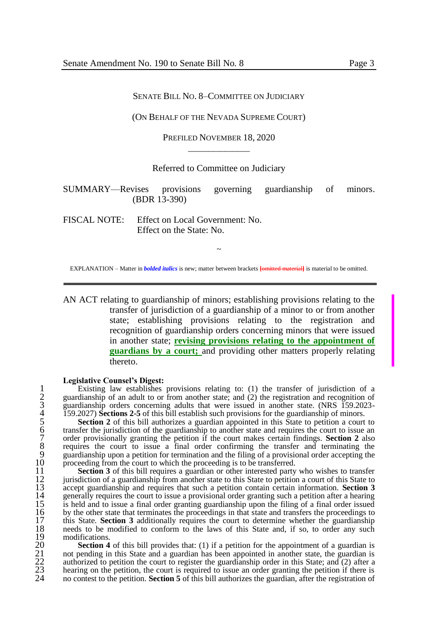## (ON BEHALF OF THE NEVADA SUPREME COURT)

PREFILED NOVEMBER 18, 2020  $\overline{\phantom{a}}$  , where  $\overline{\phantom{a}}$ 

Referred to Committee on Judiciary

SUMMARY—Revises provisions governing guardianship of minors. (BDR 13-390)

FISCAL NOTE: Effect on Local Government: No. Effect on the State: No.

~ EXPLANATION – Matter in *bolded italics* is new; matter between brackets **[**omitted material**]** is material to be omitted.

AN ACT relating to guardianship of minors; establishing provisions relating to the transfer of jurisdiction of a guardianship of a minor to or from another state; establishing provisions relating to the registration and recognition of guardianship orders concerning minors that were issued in another state; **revising provisions relating to the appointment of guardians by a court;** and providing other matters properly relating thereto.

## **Legislative Counsel's Digest:**

1 Existing law establishes provisions relating to: (1) the transfer of jurisdiction of a 2 guardianship of an adult to or from another state; and (2) the registration and recognition of 3 guardianship orders concerning adults that were issued in another state. (NRS 159.2023- 4 159.2027) **Sections 2-5** of this bill establish such provisions for the guardianship of minors.

guardianship of an adult to or from another state; and (2) the registration and recognition of<br>guardianship orders concerning adults that were issued in another state. (NRS 159.2023-<br>159.2027) **Sections 2-5** of this bill e 6 transfer the jurisdiction of the guardianship to another state and requires the court to issue an 7 order provisionally granting the petition if the court makes certain findings. **Section 2** also requires the court to issue a final order confirming the transfer and terminating the 9 guardianship upon a petition for termination and the filing of a provisional order accepting the 10 proceeding from the court to which the proceeding is to be transferred.<br>11 **Section 3** of this bill requires a guardian or other interested party

11 **Section 3** of this bill requires a guardian or other interested party who wishes to transfer<br>12 iurisdiction of a guardianship from another state to this State to petition a court of this State to 12 jurisdiction of a guardianship from another state to this State to petition a court of this State to accept guardianship and requires that such a petition contain certain information. Section 3 13 accept guardianship and requires that such a petition contain certain information. **Section 3** 14 generally requires the court to issue a provisional order granting such a petition after a hearing is held and to issue a final order granting guardianship upon the filing of a final order issued 15 is held and to issue a final order granting guardianship upon the filing of a final order issued<br>16 by the other state that terminates the proceedings in that state and transfers the proceedings to 16 by the other state that terminates the proceedings in that state and transfers the proceedings to this State. **Section 3** additionally requires the court to determine whether the guardianship 17 this State. **Section 3** additionally requires the court to determine whether the guardianship needs to be modified to conform to the laws of this State and, if so, to order any such 18 needs to be modified to conform to the laws of this State and, if so, to order any such

19 modifications.<br>20 **Section 4** 20 **Section 4** of this bill provides that: (1) if a petition for the appointment of a guardian is<br>21 not pending in this State and a guardian has been appointed in another state, the guardian is<br>22 authorized to petition t 21 not pending in this State and a guardian has been appointed in another state, the guardian is 22 authorized to petition the court to register the guardianship order in this State; and (2) after a<br>23 bearing on the petition the court is required to issue an order granting the petition if there is 23 hearing on the petition, the court is required to issue an order granting the petition if there is 24 no contest to the petition **Section 5** of this bill authorizes the guardian after the registration of no contest to the petition. **Section 5** of this bill authorizes the guardian, after the registration of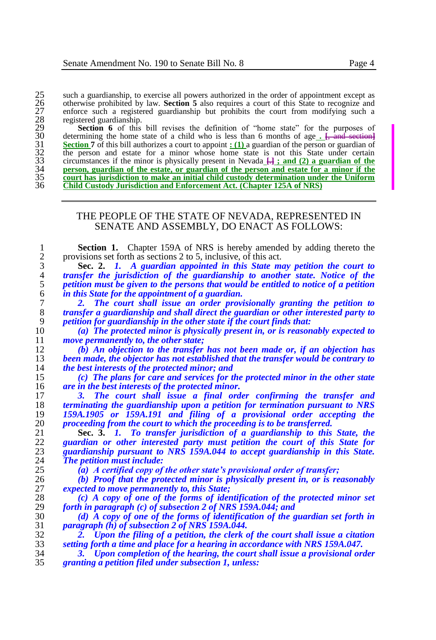otherwise prohibited by law. **Section 5** also requires a court of this State to recognize and enforce such a registered guardianship but prohibits the court from modifying such a registered guardianship.

25 such a guardianship, to exercise all powers authorized in the order of appointment except as<br>
26 otherwise prohibited by law. **Section 5** also requires a court of this State to recognize and<br>
27 enforce such a register Section 6 of this bill revises the definition of "home state" for the purposes of determining the home state of a child who is less than 6 months of age **. [**, and section**] Section 7** of this bill authorizes a court to appoint **:** (1) a guardian of the person or guardian of the person and estate for a minor whose home state is not this State under certain circumstances if the minor is physically present in Nevada  $\frac{[1]}{[1]}$ ; and (2) a guardian of the person, guardian of the estate, or guardian of the person and estate for a minor if the **court has jurisdiction to make an initial child custody determination under the Uniform Child Custody Jurisdiction and Enforcement Act. (Chapter 125A of NRS)**

## THE PEOPLE OF THE STATE OF NEVADA, REPRESENTED IN SENATE AND ASSEMBLY, DO ENACT AS FOLLOWS:

**1 Section 1.** Chapter 159A of NRS is hereby amended by adding thereto the provisions set forth as sections 2 to 5, inclusive, of this act. 2 provisions set forth as sections 2 to 5, inclusive, of this act.<br>3 **Sec. 2.** *I. A quardian appointed in this State me* 

 **Sec. 2.** *1. A guardian appointed in this State may petition the court to transfer the jurisdiction of the guardianship to another state. Notice of the petition must be given to the persons that would be entitled to notice of a petition in this State for the appointment of a guardian.*

 *2. The court shall issue an order provisionally granting the petition to transfer a guardianship and shall direct the guardian or other interested party to petition for guardianship in the other state if the court finds that:*

 *(a) The protected minor is physically present in, or is reasonably expected to move permanently to, the other state;*

 *(b) An objection to the transfer has not been made or, if an objection has been made, the objector has not established that the transfer would be contrary to the best interests of the protected minor; and*

 *(c) The plans for care and services for the protected minor in the other state are in the best interests of the protected minor.*

 *3. The court shall issue a final order confirming the transfer and terminating the guardianship upon a petition for termination pursuant to NRS 159A.1905 or 159A.191 and filing of a provisional order accepting the proceeding from the court to which the proceeding is to be transferred.*

 **Sec. 3.** *1. To transfer jurisdiction of a guardianship to this State, the guardian or other interested party must petition the court of this State for guardianship pursuant to NRS 159A.044 to accept guardianship in this State. The petition must include:*

*(a) A certified copy of the other state's provisional order of transfer;*

 *(b) Proof that the protected minor is physically present in, or is reasonably expected to move permanently to, this State;*

 *(c) A copy of one of the forms of identification of the protected minor set forth in paragraph (c) of subsection 2 of NRS 159A.044; and*

 *(d) A copy of one of the forms of identification of the guardian set forth in paragraph (h) of subsection 2 of NRS 159A.044.*

 *2. Upon the filing of a petition, the clerk of the court shall issue a citation setting forth a time and place for a hearing in accordance with NRS 159A.047.*

 *3. Upon completion of the hearing, the court shall issue a provisional order granting a petition filed under subsection 1, unless:*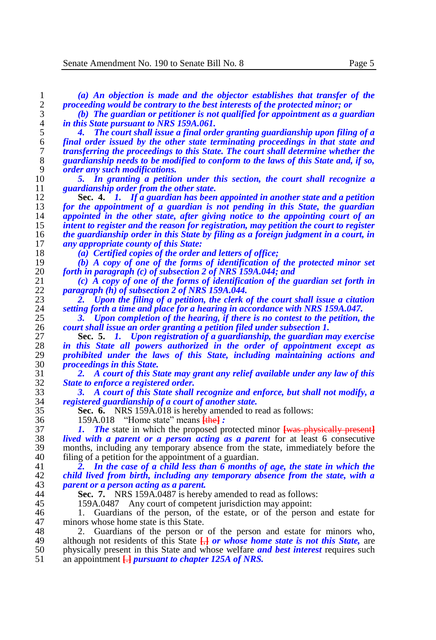| 1                | (a) An objection is made and the objector establishes that transfer of the                    |
|------------------|-----------------------------------------------------------------------------------------------|
| $\sqrt{2}$       | proceeding would be contrary to the best interests of the protected minor; or                 |
| 3                | (b) The guardian or petitioner is not qualified for appointment as a guardian                 |
| $\overline{4}$   | in this State pursuant to NRS 159A.061.                                                       |
| 5                | The court shall issue a final order granting guardianship upon filing of a                    |
| 6                | final order issued by the other state terminating proceedings in that state and               |
| $\boldsymbol{7}$ | transferring the proceedings to this State. The court shall determine whether the             |
| 8                | guardianship needs to be modified to conform to the laws of this State and, if so,            |
| 9                | <i>order any such modifications.</i>                                                          |
| 10               | 5. In granting a petition under this section, the court shall recognize a                     |
| 11               | guardianship order from the other state.                                                      |
| 12               | Sec. 4. $\hat{I}$ . If a guardian has been appointed in another state and a petition          |
| 13               | for the appointment of a guardian is not pending in this State, the guardian                  |
| 14               | appointed in the other state, after giving notice to the appointing court of an               |
| 15               | intent to register and the reason for registration, may petition the court to register        |
| 16               | the guardianship order in this State by filing as a foreign judgment in a court, in           |
| 17               | any appropriate county of this State:                                                         |
| 18               | (a) Certified copies of the order and letters of office;                                      |
| 19               | (b) A copy of one of the forms of identification of the protected minor set                   |
| 20               | forth in paragraph $(c)$ of subsection 2 of NRS 159A.044; and                                 |
| 21               | $(c)$ A copy of one of the forms of identification of the guardian set forth in               |
| 22               | <i>paragraph</i> (h) of subsection 2 of NRS 159A,044.                                         |
| 23               | Upon the filing of a petition, the clerk of the court shall issue a citation<br>2.            |
| 24               | setting forth a time and place for a hearing in accordance with NRS 159A.047.                 |
| 25               | Upon completion of the hearing, if there is no contest to the petition, the<br>з.             |
| 26               | court shall issue an order granting a petition filed under subsection 1.                      |
| 27               | Sec. 5. 1. Upon registration of a guardianship, the guardian may exercise                     |
| 28               | in this State all powers authorized in the order of appointment except as                     |
| 29               | prohibited under the laws of this State, including maintaining actions and                    |
| 30               | <i>proceedings in this State.</i>                                                             |
| 31               | 2. A court of this State may grant any relief available under any law of this                 |
| 32               | State to enforce a registered order.                                                          |
| 33               | 3. A court of this State shall recognize and enforce, but shall not modify, a                 |
| 34               |                                                                                               |
|                  | registered guardianship of a court of another state.                                          |
| 35               | <b>Sec. 6.</b> NRS 159A.018 is hereby amended to read as follows:                             |
| 36               | 159A.018 "Home state" means [the]:                                                            |
| 37               | <b>The</b> state in which the proposed protected minor was physically present<br>L            |
| 38               | lived with a parent or a person acting as a parent for at least 6 consecutive                 |
| 39               | months, including any temporary absence from the state, immediately before the                |
| 40               | filing of a petition for the appointment of a guardian.                                       |
| 41               | In the case of a child less than 6 months of age, the state in which the<br>2.                |
| 42               | child lived from birth, including any temporary absence from the state, with a                |
| 43               | parent or a person acting as a parent.                                                        |
| 44               | <b>Sec. 7.</b> NRS 159A.0487 is hereby amended to read as follows:                            |
| 45               | Any court of competent jurisdiction may appoint:<br>159A.0487                                 |
| 46               | Guardians of the person, of the estate, or of the person and estate for                       |
| 47               | minors whose home state is this State.                                                        |
| 48               | Guardians of the person or of the person and estate for minors who,<br>2.                     |
| 49               | although not residents of this State $\frac{1}{k}$ or whose home state is not this State, are |
| 50               | physically present in this State and whose welfare <i>and best interest</i> requires such     |
| 51               | an appointment $\frac{1}{2}$ pursuant to chapter 125A of NRS.                                 |